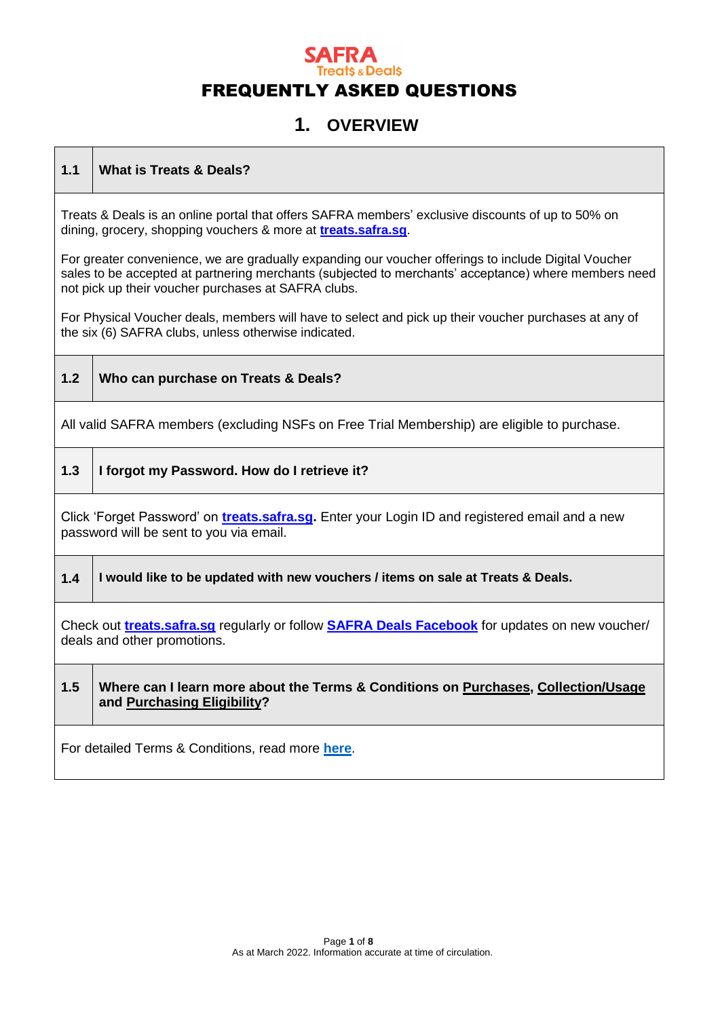### **1. OVERVIEW**

#### **1.1 What is Treats & Deals?**

Treats & Deals is an online portal that offers SAFRA members' exclusive discounts of up to 50% on dining, grocery, shopping vouchers & more at **[treats.safra.sg](https://treats.safra.sg/)**.

For greater convenience, we are gradually expanding our voucher offerings to include Digital Voucher sales to be accepted at partnering merchants (subjected to merchants' acceptance) where members need not pick up their voucher purchases at SAFRA clubs.

For Physical Voucher deals, members will have to select and pick up their voucher purchases at any of the six (6) SAFRA clubs, unless otherwise indicated.

**1.2 Who can purchase on Treats & Deals?**

All valid SAFRA members (excluding NSFs on Free Trial Membership) are eligible to purchase.

**1.3 I forgot my Password. How do I retrieve it?**

Click 'Forget Password' on **[treats.safra.sg.](https://treats.safra.sg/)** Enter your Login ID and registered email and a new password will be sent to you via email.

**1.4 I would like to be updated with new vouchers / items on sale at Treats & Deals.**

Check out **[treats.safra.sg](https://treats.safra.sg/)** regularly or follow **[SAFRA Deals Facebook](http://www.facebook.com/SAFRADeals/)** for updates on new voucher/ deals and other promotions.

#### **1.5 Where can I learn more about the Terms & Conditions on Purchases, Collection/Usage and Purchasing Eligibility?**

For detailed Terms & Conditions, read more **[here](https://tnd-pdf-uploads.s3-ap-southeast-1.amazonaws.com/TreatsNDealsTermsandConditions_PROD.pdf?AWSAccessKeyId=AKIAIFWYSOQ5HJWQ2HJQ&Expires=1967427821&Signature=9kamu2FqGvd3Yx8gyoZZgs3Sidk%3D)**.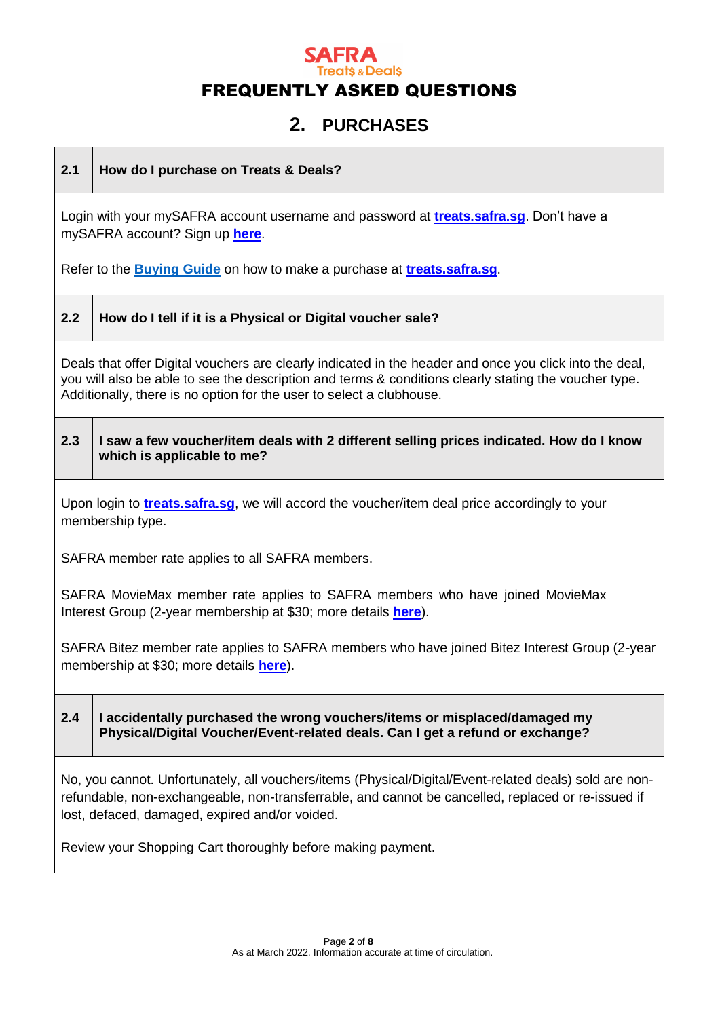### **2. PURCHASES**

**2.1 How do I purchase on Treats & Deals?**

Login with your mySAFRA account username and password at **[treats.safra.sg](https://treats.safra.sg/)**. Don't have a mySAFRA account? Sign up **[here](https://m.safra.sg/)**.

Refer to the **[Buying Guide](https://tnd-pdf-uploads.s3-ap-southeast-1.amazonaws.com/TreatsNDealsBuyingGuide_PROD.pdf?AWSAccessKeyId=AKIAIFWYSOQ5HJWQ2HJQ&Expires=1967427879&Signature=eQQ2bATC73elKfWYZOZcFwaonII%3D)** on how to make a purchase at **[treats.safra.sg](https://treats.safra.sg/)**.

#### **2.2 How do I tell if it is a Physical or Digital voucher sale?**

Deals that offer Digital vouchers are clearly indicated in the header and once you click into the deal, you will also be able to see the description and terms & conditions clearly stating the voucher type. Additionally, there is no option for the user to select a clubhouse.

**2.3 I saw a few voucher/item deals with 2 different selling prices indicated. How do I know which is applicable to me?**

Upon login to **[treats.safra.sg](https://treats.safra.sg/)**, we will accord the voucher/item deal price accordingly to your membership type.

SAFRA member rate applies to all SAFRA members.

SAFRA MovieMax member rate applies to SAFRA members who have joined MovieMax Interest Group (2-year membership at \$30; more details **[here](https://www.safra.sg/interest-groups/moviemax)**).

SAFRA Bitez member rate applies to SAFRA members who have joined Bitez Interest Group (2-year membership at \$30; more details **[here](https://www.safra.sg/interest-groups/bitez)**).

#### **2.4 I accidentally purchased the wrong vouchers/items or misplaced/damaged my Physical/Digital Voucher/Event-related deals. Can I get a refund or exchange?**

No, you cannot. Unfortunately, all vouchers/items (Physical/Digital/Event-related deals) sold are nonrefundable, non-exchangeable, non-transferrable, and cannot be cancelled, replaced or re-issued if lost, defaced, damaged, expired and/or voided.

Review your Shopping Cart thoroughly before making payment.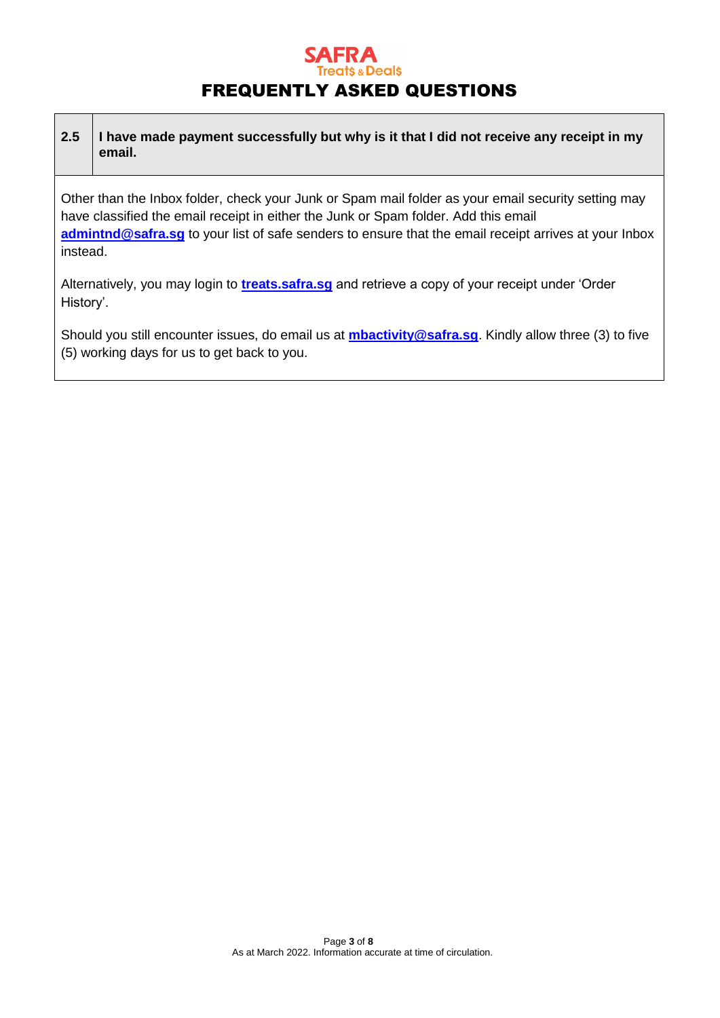### **Deals** FREQUENTLY ASKED QUESTIONS

| 2.5 | I have made payment successfully but why is it that I did not receive any receipt in my |
|-----|-----------------------------------------------------------------------------------------|
|     | email.                                                                                  |

Other than the Inbox folder, check your Junk or Spam mail folder as your email security setting may have classified the email receipt in either the Junk or Spam folder. Add this email [admintnd@safra.sg](mailto:admintnd@safra.sg) to your list of safe senders to ensure that the email receipt arrives at your Inbox instead.

Alternatively, you may login to **[treats.safra.sg](https://treats.safra.sg/)** and retrieve a copy of your receipt under 'Order History'.

Should you still encounter issues, do email us at **[mbactivity@safra.sg](mailto:mbactivity@safra.sg)**. Kindly allow three (3) to five (5) working days for us to get back to you.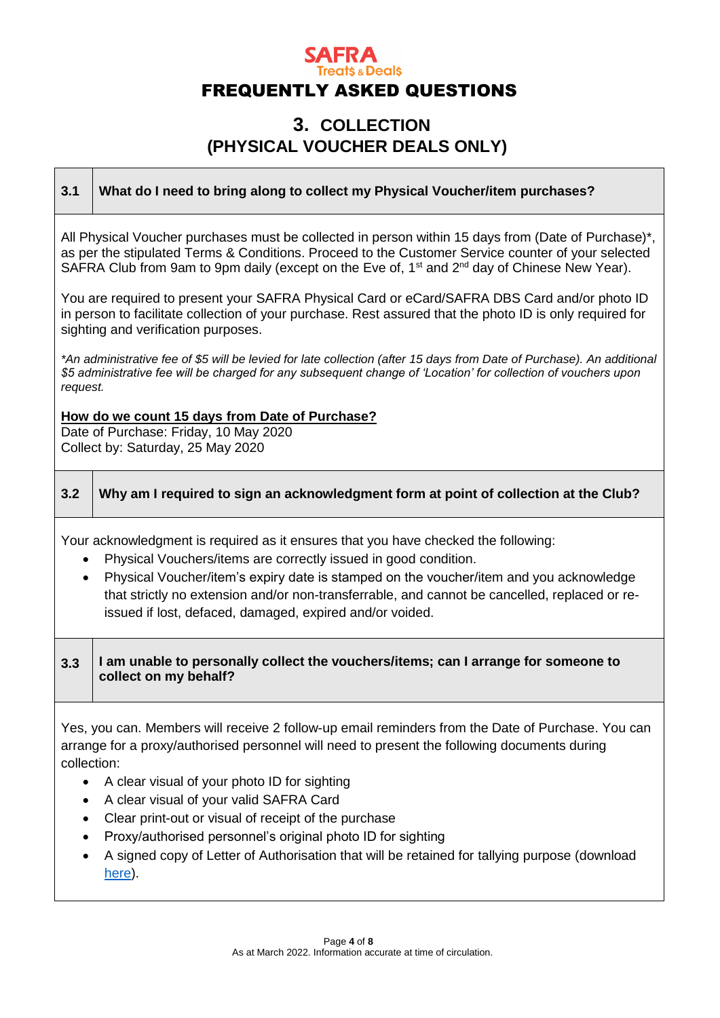### **3. COLLECTION (PHYSICAL VOUCHER DEALS ONLY)**

#### **3.1 What do I need to bring along to collect my Physical Voucher/item purchases?**

All Physical Voucher purchases must be collected in person within 15 days from (Date of Purchase)\*, as per the stipulated Terms & Conditions. Proceed to the Customer Service counter of your selected SAFRA Club from 9am to 9pm daily (except on the Eve of,  $1<sup>st</sup>$  and  $2<sup>nd</sup>$  day of Chinese New Year).

You are required to present your SAFRA Physical Card or eCard/SAFRA DBS Card and/or photo ID in person to facilitate collection of your purchase. Rest assured that the photo ID is only required for sighting and verification purposes.

*\*An administrative fee of \$5 will be levied for late collection (after 15 days from Date of Purchase). An additional \$5 administrative fee will be charged for any subsequent change of 'Location' for collection of vouchers upon request.* 

**How do we count 15 days from Date of Purchase?**

Date of Purchase: Friday, 10 May 2020 Collect by: Saturday, 25 May 2020

### **3.2 Why am I required to sign an acknowledgment form at point of collection at the Club?**

Your acknowledgment is required as it ensures that you have checked the following:

- Physical Vouchers/items are correctly issued in good condition.
- Physical Voucher/item's expiry date is stamped on the voucher/item and you acknowledge that strictly no extension and/or non-transferrable, and cannot be cancelled, replaced or reissued if lost, defaced, damaged, expired and/or voided.

#### **3.3 I am unable to personally collect the vouchers/items; can I arrange for someone to collect on my behalf?**

Yes, you can. Members will receive 2 follow-up email reminders from the Date of Purchase. You can arrange for a proxy/authorised personnel will need to present the following documents during collection:

- A clear visual of your photo ID for sighting
- A clear visual of your valid SAFRA Card
- Clear print-out or visual of receipt of the purchase
- Proxy/authorised personnel's original photo ID for sighting
- A signed copy of Letter of Authorisation that will be retained for tallying purpose (download [here\)](https://treats.safra.sg/getfile.aspx?file=loa).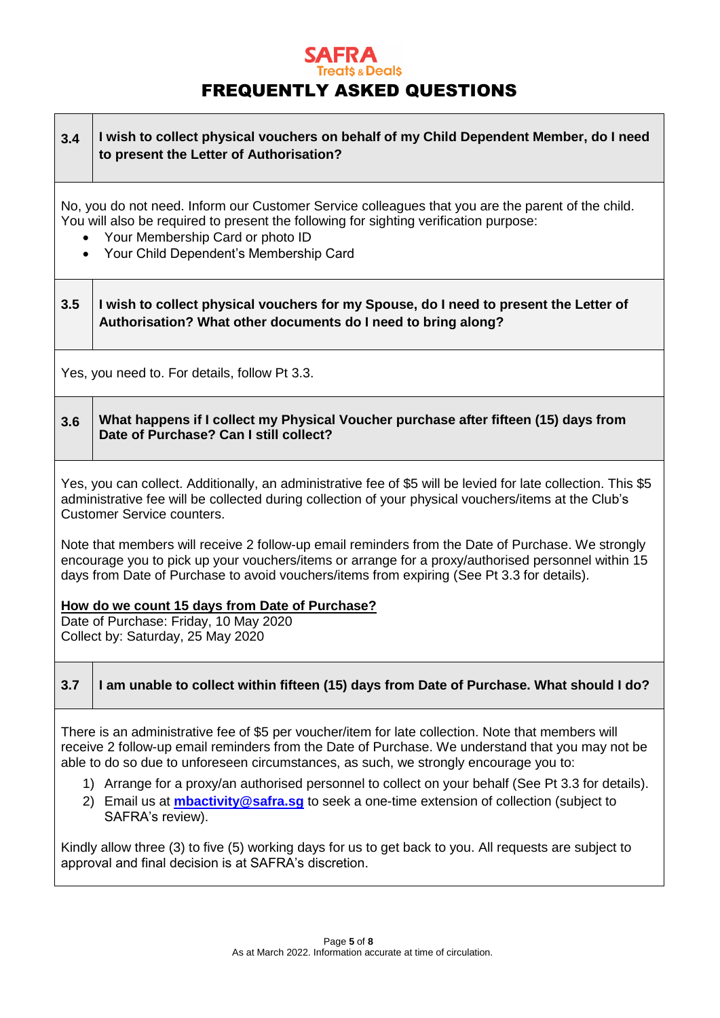#### **3.4 I wish to collect physical vouchers on behalf of my Child Dependent Member, do I need to present the Letter of Authorisation?**

No, you do not need. Inform our Customer Service colleagues that you are the parent of the child. You will also be required to present the following for sighting verification purpose:

- Your Membership Card or photo ID
- Your Child Dependent's Membership Card

#### **3.5 I wish to collect physical vouchers for my Spouse, do I need to present the Letter of Authorisation? What other documents do I need to bring along?**

Yes, you need to. For details, follow Pt 3.3.

#### **3.6 What happens if I collect my Physical Voucher purchase after fifteen (15) days from Date of Purchase? Can I still collect?**

Yes, you can collect. Additionally, an administrative fee of \$5 will be levied for late collection. This \$5 administrative fee will be collected during collection of your physical vouchers/items at the Club's Customer Service counters.

Note that members will receive 2 follow-up email reminders from the Date of Purchase. We strongly encourage you to pick up your vouchers/items or arrange for a proxy/authorised personnel within 15 days from Date of Purchase to avoid vouchers/items from expiring (See Pt 3.3 for details).

#### **How do we count 15 days from Date of Purchase?**

Date of Purchase: Friday, 10 May 2020 Collect by: Saturday, 25 May 2020

#### **3.7 I am unable to collect within fifteen (15) days from Date of Purchase. What should I do?**

There is an administrative fee of \$5 per voucher/item for late collection. Note that members will receive 2 follow-up email reminders from the Date of Purchase. We understand that you may not be able to do so due to unforeseen circumstances, as such, we strongly encourage you to:

- 1) Arrange for a proxy/an authorised personnel to collect on your behalf (See Pt 3.3 for details).
- 2) Email us at **[mbactivity@safra.sg](mailto:mbactivity@safra.sg)** to seek a one-time extension of collection (subject to SAFRA's review).

Kindly allow three (3) to five (5) working days for us to get back to you. All requests are subject to approval and final decision is at SAFRA's discretion.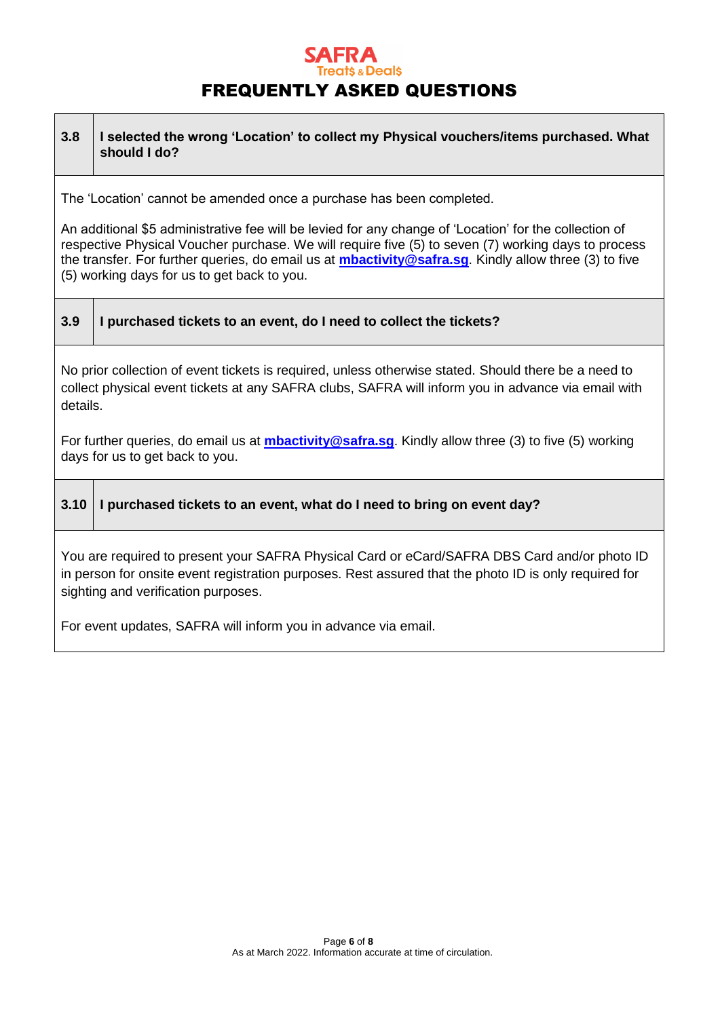# **SAFRA**<br> **FREQUENTLY ASKED QUESTIONS**

| 3.8                                                                                                                                                                                                                                                                                                                                                                                                                                                   | I selected the wrong 'Location' to collect my Physical vouchers/items purchased. What<br>should I do? |
|-------------------------------------------------------------------------------------------------------------------------------------------------------------------------------------------------------------------------------------------------------------------------------------------------------------------------------------------------------------------------------------------------------------------------------------------------------|-------------------------------------------------------------------------------------------------------|
| The 'Location' cannot be amended once a purchase has been completed.<br>An additional \$5 administrative fee will be levied for any change of 'Location' for the collection of<br>respective Physical Voucher purchase. We will require five (5) to seven (7) working days to process<br>the transfer. For further queries, do email us at <b>mbactivity@safra.sg</b> . Kindly allow three (3) to five<br>(5) working days for us to get back to you. |                                                                                                       |
| 3.9                                                                                                                                                                                                                                                                                                                                                                                                                                                   | I purchased tickets to an event, do I need to collect the tickets?                                    |
| No prior collection of event tickets is required, unless otherwise stated. Should there be a need to<br>collect physical event tickets at any SAFRA clubs, SAFRA will inform you in advance via email with<br>details.                                                                                                                                                                                                                                |                                                                                                       |
| For further queries, do email us at <b>mbactivity@safra.sg.</b> Kindly allow three (3) to five (5) working<br>days for us to get back to you.                                                                                                                                                                                                                                                                                                         |                                                                                                       |
| 3.10                                                                                                                                                                                                                                                                                                                                                                                                                                                  | I purchased tickets to an event, what do I need to bring on event day?                                |
| You are required to present your SAFRA Physical Card or eCard/SAFRA DBS Card and/or photo ID<br>in person for onsite event registration purposes. Rest assured that the photo ID is only required for<br>sighting and verification purposes.                                                                                                                                                                                                          |                                                                                                       |
| For event updates, SAFRA will inform you in advance via email.                                                                                                                                                                                                                                                                                                                                                                                        |                                                                                                       |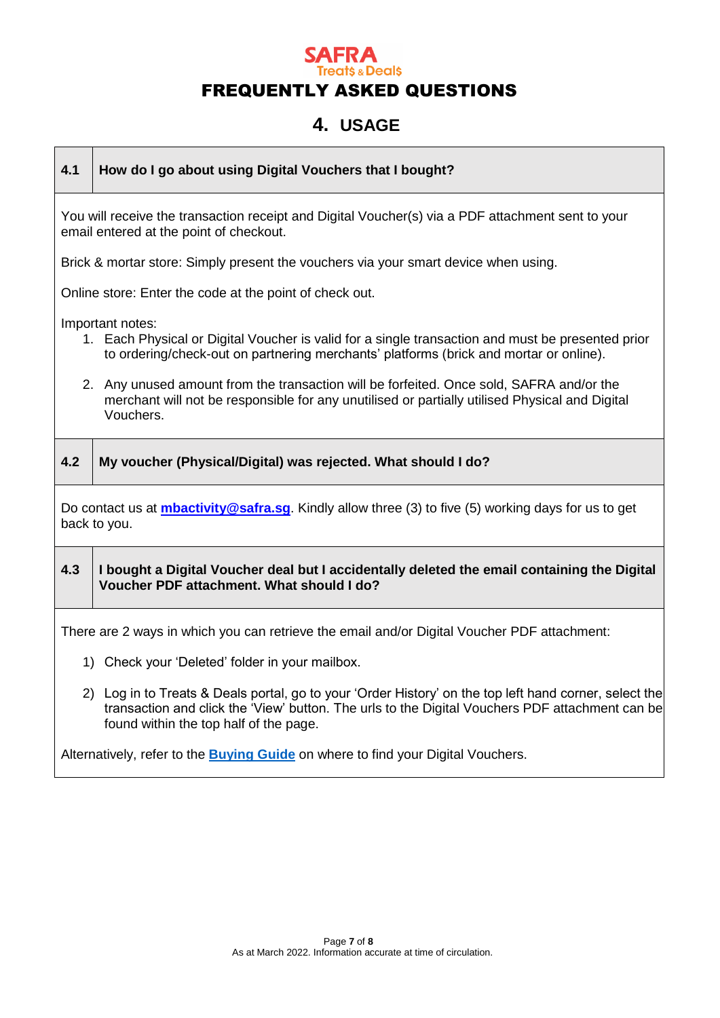### **4. USAGE**

**4.1 How do I go about using Digital Vouchers that I bought?**

You will receive the transaction receipt and Digital Voucher(s) via a PDF attachment sent to your email entered at the point of checkout.

Brick & mortar store: Simply present the vouchers via your smart device when using.

Online store: Enter the code at the point of check out.

Important notes:

- 1. Each Physical or Digital Voucher is valid for a single transaction and must be presented prior to ordering/check-out on partnering merchants' platforms (brick and mortar or online).
- 2. Any unused amount from the transaction will be forfeited. Once sold, SAFRA and/or the merchant will not be responsible for any unutilised or partially utilised Physical and Digital Vouchers.
- **4.2 My voucher (Physical/Digital) was rejected. What should I do?** Do contact us at **[mbactivity@safra.sg](mailto:mbactivity@safra.sg)**. Kindly allow three (3) to five (5) working days for us to get back to you. **4.3 I bought a Digital Voucher deal but I accidentally deleted the email containing the Digital Voucher PDF attachment. What should I do?**  There are 2 ways in which you can retrieve the email and/or Digital Voucher PDF attachment: 1) Check your 'Deleted' folder in your mailbox. 2) Log in to Treats & Deals portal, go to your 'Order History' on the top left hand corner, select the
	- transaction and click the 'View' button. The urls to the Digital Vouchers PDF attachment can be found within the top half of the page.

Alternatively, refer to the **[Buying Guide](https://tnd-pdf-uploads.s3-ap-southeast-1.amazonaws.com/TreatsNDealsBuyingGuide_PROD.pdf?AWSAccessKeyId=AKIAIFWYSOQ5HJWQ2HJQ&Expires=1967427879&Signature=eQQ2bATC73elKfWYZOZcFwaonII%3D)** on where to find your Digital Vouchers.